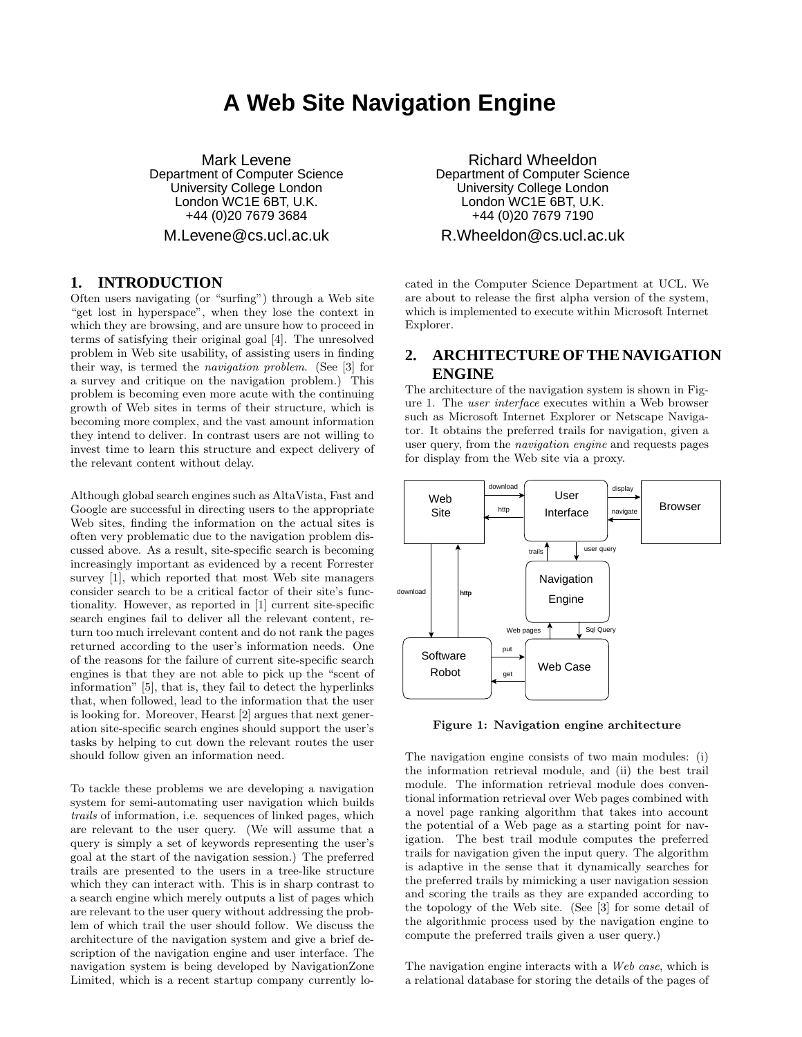# **A Web Site Navigation Engine**

Mark Levene Department of Computer Science University College London London WC1E 6BT, U.K. +44 (0)20 7679 3684

M.Levene@cs.ucl.ac.uk

## **1. INTRODUCTION**

Often users navigating (or "surfing") through a Web site "get lost in hyperspace", when they lose the context in which they are browsing, and are unsure how to proceed in terms of satisfying their original goal [4]. The unresolved problem in Web site usability, of assisting users in finding their way, is termed the navigation problem. (See [3] for a survey and critique on the navigation problem.) This problem is becoming even more acute with the continuing growth of Web sites in terms of their structure, which is becoming more complex, and the vast amount information they intend to deliver. In contrast users are not willing to invest time to learn this structure and expect delivery of the relevant content without delay.

Although global search engines such as AltaVista, Fast and Google are successful in directing users to the appropriate Web sites, finding the information on the actual sites is often very problematic due to the navigation problem discussed above. As a result, site-specific search is becoming increasingly important as evidenced by a recent Forrester survey [1], which reported that most Web site managers consider search to be a critical factor of their site's functionality. However, as reported in [1] current site-specific search engines fail to deliver all the relevant content, return too much irrelevant content and do not rank the pages returned according to the user's information needs. One of the reasons for the failure of current site-specific search engines is that they are not able to pick up the "scent of information" [5], that is, they fail to detect the hyperlinks that, when followed, lead to the information that the user is looking for. Moreover, Hearst [2] argues that next generation site-specific search engines should support the user's tasks by helping to cut down the relevant routes the user should follow given an information need.

To tackle these problems we are developing a navigation system for semi-automating user navigation which builds trails of information, i.e. sequences of linked pages, which are relevant to the user query. (We will assume that a query is simply a set of keywords representing the user's goal at the start of the navigation session.) The preferred trails are presented to the users in a tree-like structure which they can interact with. This is in sharp contrast to a search engine which merely outputs a list of pages which are relevant to the user query without addressing the problem of which trail the user should follow. We discuss the architecture of the navigation system and give a brief description of the navigation engine and user interface. The navigation system is being developed by NavigationZone Limited, which is a recent startup company currently lo-

Richard Wheeldon Department of Computer Science University College London London WC1E 6BT, U.K. +44 (0)20 7679 7190

R.Wheeldon@cs.ucl.ac.uk

cated in the Computer Science Department at UCL. We are about to release the first alpha version of the system, which is implemented to execute within Microsoft Internet Explorer.

## **2. ARCHITECTURE OF THE NAVIGATION ENGINE**

The architecture of the navigation system is shown in Figure 1. The user interface executes within a Web browser such as Microsoft Internet Explorer or Netscape Navigator. It obtains the preferred trails for navigation, given a user query, from the navigation engine and requests pages for display from the Web site via a proxy.



Figure 1: Navigation engine architecture

The navigation engine consists of two main modules: (i) the information retrieval module, and (ii) the best trail module. The information retrieval module does conventional information retrieval over Web pages combined with a novel page ranking algorithm that takes into account the potential of a Web page as a starting point for navigation. The best trail module computes the preferred trails for navigation given the input query. The algorithm is adaptive in the sense that it dynamically searches for the preferred trails by mimicking a user navigation session and scoring the trails as they are expanded according to the topology of the Web site. (See [3] for some detail of the algorithmic process used by the navigation engine to compute the preferred trails given a user query.)

The navigation engine interacts with a Web case, which is a relational database for storing the details of the pages of